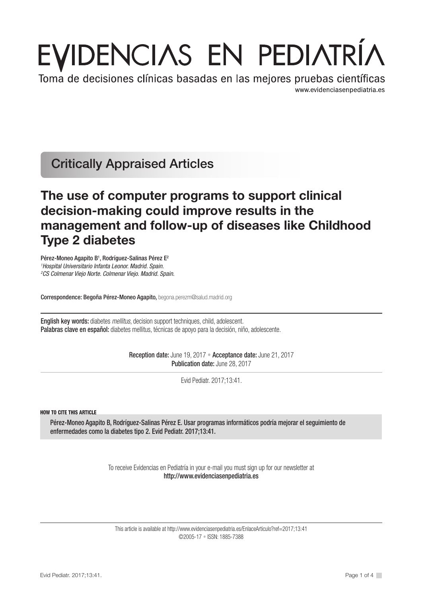# EVIDENCIAS EN PEDIATRÍA

Toma de decisiones clínicas basadas en las mejores pruebas científicas www.evidenciasenpediatria.es

Critically Appraised Articles

# The use of computer programs to support clinical decision-making could improve results in the management and follow-up of diseases like Childhood Type 2 diabetes

Pérez-Moneo Agapito B<sup>1</sup>, Rodríguez-Salinas Pérez E<sup>2</sup> *1 Hospital Universitario Infanta Leonor. Madrid. Spain. 2 CS Colmenar Viejo Norte. Colmenar Viejo. Madrid. Spain.*

Correspondence: Begoña Pérez-Moneo Agapito, begona.perezm@salud.madrid.org

English key words: diabetes *mellitus*, decision support techniques, child, adolescent. Palabras clave en español: diabetes mellitus, técnicas de apoyo para la decisión, niño, adolescente.

> Reception date: June 19, 2017 • Acceptance date: June 21, 2017 Publication date: June 28, 2017

> > Evid Pediatr. 2017;13:41.

HOW TO CITE THIS ARTICLE

Pérez-Moneo Agapito B, Rodríguez-Salinas Pérez E. Usar programas informáticos podría mejorar el seguimiento de enfermedades como la diabetes tipo 2. Evid Pediatr. 2017;13:41.

> To receive Evidencias en Pediatría in your e-mail you must sign up for our newsletter at http://www.evidenciasenpediatria.es

This article is available at http://www.evidenciasenpediatria.es/EnlaceArticulo?ref=2017;13:41 ©2005-17 • ISSN: 1885-7388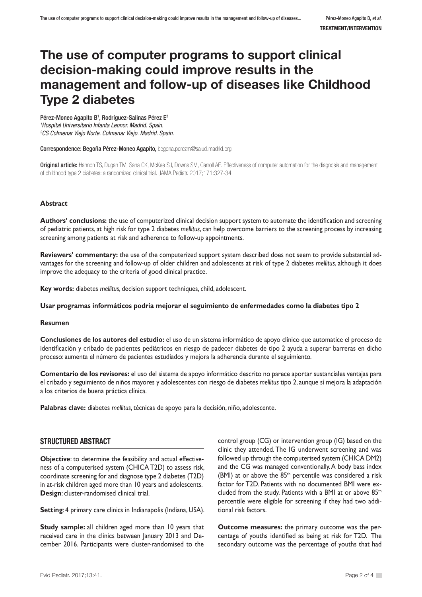# The use of computer programs to support clinical decision-making could improve results in the management and follow-up of diseases like Childhood Type 2 diabetes

Pérez-Moneo Agapito B<sup>1</sup>, Rodríguez-Salinas Pérez E<sup>2</sup> *1 Hospital Universitario Infanta Leonor. Madrid. Spain. 2 CS Colmenar Viejo Norte. Colmenar Viejo. Madrid. Spain.*

Correspondence: Begoña Pérez-Moneo Agapito, begona.perezm@salud.madrid.org

Original article: Hannon TS, Dugan TM, Saha CK, McKee SJ, Downs SM, Carroll AE. Effectiveness of computer automation for the diagnosis and management of childhood type 2 diabetes: a randomized clinical trial. JAMA Pediatr. 2017;171:327-34.

#### **Abstract**

**Authors' conclusions:** the use of computerized clinical decision support system to automate the identification and screening of pediatric patients, at high risk for type 2 diabetes *mellitus*, can help overcome barriers to the screening process by increasing screening among patients at risk and adherence to follow-up appointments.

**Reviewers' commentary:** the use of the computerized support system described does not seem to provide substantial advantages for the screening and follow-up of older children and adolescents at risk of type 2 diabetes *mellitus*, although it does improve the adequacy to the criteria of good clinical practice.

**Key words:** diabetes *mellitus*, decision support techniques, child, adolescent.

#### **Usar programas informáticos podría mejorar el seguimiento de enfermedades como la diabetes tipo 2**

#### **Resumen**

**Conclusiones de los autores del estudio:** el uso de un sistema informático de apoyo clínico que automatice el proceso de identificación y cribado de pacientes pediátricos en riesgo de padecer diabetes de tipo 2 ayuda a superar barreras en dicho proceso: aumenta el número de pacientes estudiados y mejora la adherencia durante el seguimiento.

**Comentario de los revisores:** el uso del sistema de apoyo informático descrito no parece aportar sustanciales ventajas para el cribado y seguimiento de niños mayores y adolescentes con riesgo de diabetes *mellitus* tipo 2, aunque sí mejora la adaptación a los criterios de buena práctica clínica.

**Palabras clave:** diabetes *mellitus*, técnicas de apoyo para la decisión, niño, adolescente.

## STRUCTURED ABSTRACT

**Objective**: to determine the feasibility and actual effectiveness of a computerised system (CHICA T2D) to assess risk, coordinate screening for and diagnose type 2 diabetes (T2D) in at-risk children aged more than 10 years and adolescents. **Design**: cluster-randomised clinical trial.

**Setting: 4 primary care clinics in Indianapolis (Indiana, USA).** 

**Study sample:** all children aged more than 10 years that received care in the clinics between January 2013 and December 2016. Participants were cluster-randomised to the

control group (CG) or intervention group (IG) based on the clinic they attended. The IG underwent screening and was followed up through the computerised system (CHICA DM2) and the CG was managed conventionally. A body bass index (BMI) at or above the  $85<sup>th</sup>$  percentile was considered a risk factor for T2D. Patients with no documented BMI were excluded from the study. Patients with a BMI at or above 85<sup>th</sup> percentile were eligible for screening if they had two additional risk factors.

**Outcome measures:** the primary outcome was the percentage of youths identified as being at risk for T2D. The secondary outcome was the percentage of youths that had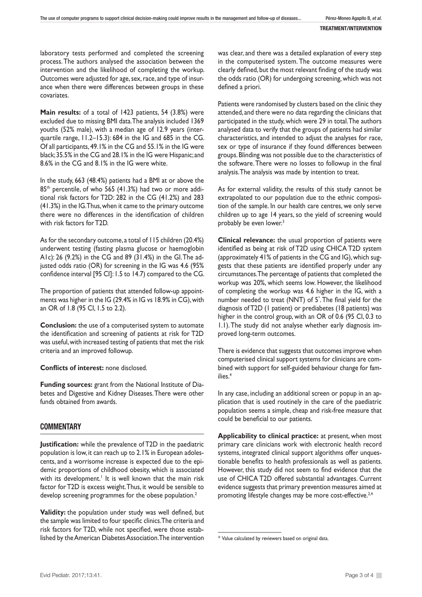laboratory tests performed and completed the screening process. The authors analysed the association between the intervention and the likelihood of completing the workup. Outcomes were adjusted for age, sex, race, and type of insurance when there were differences between groups in these covariates.

**Main results:** of a total of 1423 patients, 54 (3.8%) were excluded due to missing BMI data. The analysis included 1369 youths (52% male), with a median age of 12.9 years (interquartile range, 11.2–15.3): 684 in the IG and 685 in the CG. Of all participants, 49.1% in the CG and 55.1% in the IG were black; 35.5% in the CG and 28.1% in the IG were Hispanic; and 8.6% in the CG and 8.1% in the IG were white.

In the study, 663 (48.4%) patients had a BMI at or above the 85<sup>th</sup> percentile, of who 565 (41.3%) had two or more additional risk factors for T2D: 282 in the CG (41.2%) and 283 (41.3%) in the IG. Thus, when it came to the primary outcome there were no differences in the identification of children with risk factors for T2D.

As for the secondary outcome, a total of 115 children (20.4%) underwent testing (fasting plasma glucose or haemoglobin A1c): 26 (9.2%) in the CG and 89 (31.4%) in the GI. The adjusted odds ratio (OR) for screening in the IG was 4.6 (95% confidence interval [95 CI]: 1.5 to 14.7) compared to the CG.

The proportion of patients that attended follow-up appointments was higher in the IG (29.4% in IG vs 18.9% in CG), with an OR of 1.8 (95 CI, 1.5 to 2.2).

**Conclusion:** the use of a computerised system to automate the identification and screening of patients at risk for T2D was useful, with increased testing of patients that met the risk criteria and an improved followup.

**Conflicts of interest:** none disclosed.

**Funding sources:** grant from the National Institute of Diabetes and Digestive and Kidney Diseases. There were other funds obtained from awards.

## **COMMENTARY**

**Justification:** while the prevalence of T2D in the paediatric population is low, it can reach up to 2.1% in European adolescents, and a worrisome increase is expected due to the epidemic proportions of childhood obesity, which is associated with its development.<sup>1</sup> It is well known that the main risk factor for T2D is excess weight. Thus, it would be sensible to develop screening programmes for the obese population.<sup>2</sup>

**Validity:** the population under study was well defined, but the sample was limited to four specific clinics. The criteria and risk factors for T2D, while not specified, were those established by the American Diabetes Association. The intervention was clear, and there was a detailed explanation of every step in the computerised system. The outcome measures were clearly defined, but the most relevant finding of the study was the odds ratio (OR) for undergoing screening, which was not defined a priori.

Patients were randomised by clusters based on the clinic they attended, and there were no data regarding the clinicians that participated in the study, which were 29 in total. The authors analysed data to verify that the groups of patients had similar characteristics, and intended to adjust the analyses for race, sex or type of insurance if they found differences between groups. Blinding was not possible due to the characteristics of the software. There were no losses to followup in the final analysis. The analysis was made by intention to treat.

As for external validity, the results of this study cannot be extrapolated to our population due to the ethnic composition of the sample. In our health care centres, we only serve children up to age 14 years, so the yield of screening would probably be even lower.3

**Clinical relevance:** the usual proportion of patients were identified as being at risk of T2D using CHICA T2D system (approximately 41% of patients in the CG and IG), which suggests that these patients are identified properly under any circumstances. The percentage of patients that completed the workup was 20%, which seems low. However, the likelihood of completing the workup was 4.6 higher in the IG, with a number needed to treat (NNT) of 5\* . The final yield for the diagnosis of T2D (1 patient) or prediabetes (18 patients) was higher in the control group, with an OR of 0.6 (95 CI, 0.3 to 1.1). The study did not analyse whether early diagnosis improved long-term outcomes.

There is evidence that suggests that outcomes improve when computerised clinical support systems for clinicians are combined with support for self-guided behaviour change for families.4

In any case, including an additional screen or popup in an application that is used routinely in the care of the paediatric population seems a simple, cheap and risk-free measure that could be beneficial to our patients.

**Applicability to clinical practice:** at present, when most primary care clinicians work with electronic health record systems, integrated clinical support algorithms offer unquestionable benefits to health professionals as well as patients. However, this study did not seem to find evidence that the use of CHICA T2D offered substantial advantages. Current evidence suggests that primary prevention measures aimed at promoting lifestyle changes may be more cost-effective.<sup>2,4</sup>

<sup>\*</sup> Value calculated by reviewers based on original data.